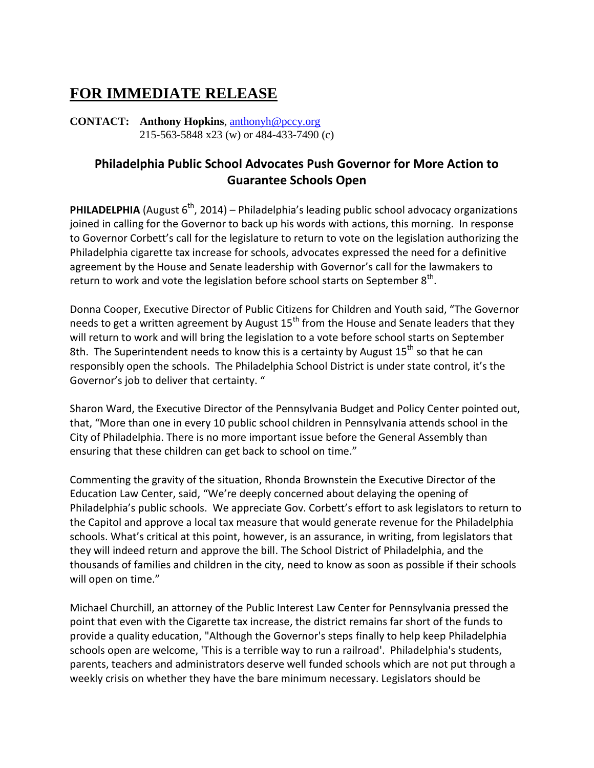## **FOR IMMEDIATE RELEASE**

**CONTACT: Anthony Hopkins**, [anthonyh@pccy.org](mailto:anthonyh@pccy.org) 215-563-5848 x23 (w) or 484-433-7490 (c)

## **Philadelphia Public School Advocates Push Governor for More Action to Guarantee Schools Open**

**PHILADELPHIA** (August  $6<sup>th</sup>$ , 2014) – Philadelphia's leading public school advocacy organizations joined in calling for the Governor to back up his words with actions, this morning. In response to Governor Corbett's call for the legislature to return to vote on the legislation authorizing the Philadelphia cigarette tax increase for schools, advocates expressed the need for a definitive agreement by the House and Senate leadership with Governor's call for the lawmakers to return to work and vote the legislation before school starts on September 8<sup>th</sup>.

Donna Cooper, Executive Director of Public Citizens for Children and Youth said, "The Governor needs to get a written agreement by August  $15<sup>th</sup>$  from the House and Senate leaders that they will return to work and will bring the legislation to a vote before school starts on September 8th. The Superintendent needs to know this is a certainty by August  $15<sup>th</sup>$  so that he can responsibly open the schools. The Philadelphia School District is under state control, it's the Governor's job to deliver that certainty. "

Sharon Ward, the Executive Director of the Pennsylvania Budget and Policy Center pointed out, that, "More than one in every 10 public school children in Pennsylvania attends school in the City of Philadelphia. There is no more important issue before the General Assembly than ensuring that these children can get back to school on time."

Commenting the gravity of the situation, Rhonda Brownstein the Executive Director of the Education Law Center, said, "We're deeply concerned about delaying the opening of Philadelphia's public schools. We appreciate Gov. Corbett's effort to ask legislators to return to the Capitol and approve a local tax measure that would generate revenue for the Philadelphia schools. What's critical at this point, however, is an assurance, in writing, from legislators that they will indeed return and approve the bill. The School District of Philadelphia, and the thousands of families and children in the city, need to know as soon as possible if their schools will open on time."

Michael Churchill, an attorney of the Public Interest Law Center for Pennsylvania pressed the point that even with the Cigarette tax increase, the district remains far short of the funds to provide a quality education, "Although the Governor's steps finally to help keep Philadelphia schools open are welcome, 'This is a terrible way to run a railroad'. Philadelphia's students, parents, teachers and administrators deserve well funded schools which are not put through a weekly crisis on whether they have the bare minimum necessary. Legislators should be